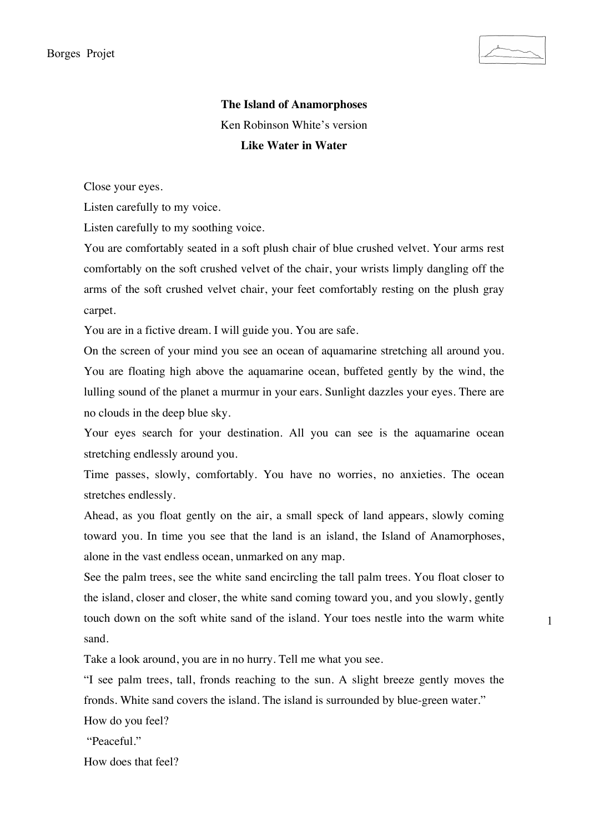

1

**The Island of Anamorphoses** Ken Robinson White's version **Like Water in Water**

Close your eyes.

Listen carefully to my voice.

Listen carefully to my soothing voice.

You are comfortably seated in a soft plush chair of blue crushed velvet. Your arms rest comfortably on the soft crushed velvet of the chair, your wrists limply dangling off the arms of the soft crushed velvet chair, your feet comfortably resting on the plush gray carpet.

You are in a fictive dream. I will guide you. You are safe.

On the screen of your mind you see an ocean of aquamarine stretching all around you. You are floating high above the aquamarine ocean, buffeted gently by the wind, the lulling sound of the planet a murmur in your ears. Sunlight dazzles your eyes. There are no clouds in the deep blue sky.

Your eyes search for your destination. All you can see is the aquamarine ocean stretching endlessly around you.

Time passes, slowly, comfortably. You have no worries, no anxieties. The ocean stretches endlessly.

Ahead, as you float gently on the air, a small speck of land appears, slowly coming toward you. In time you see that the land is an island, the Island of Anamorphoses, alone in the vast endless ocean, unmarked on any map.

See the palm trees, see the white sand encircling the tall palm trees. You float closer to the island, closer and closer, the white sand coming toward you, and you slowly, gently touch down on the soft white sand of the island. Your toes nestle into the warm white sand.

Take a look around, you are in no hurry. Tell me what you see.

"I see palm trees, tall, fronds reaching to the sun. A slight breeze gently moves the fronds. White sand covers the island. The island is surrounded by blue-green water."

How do you feel?

"Peaceful."

How does that feel?